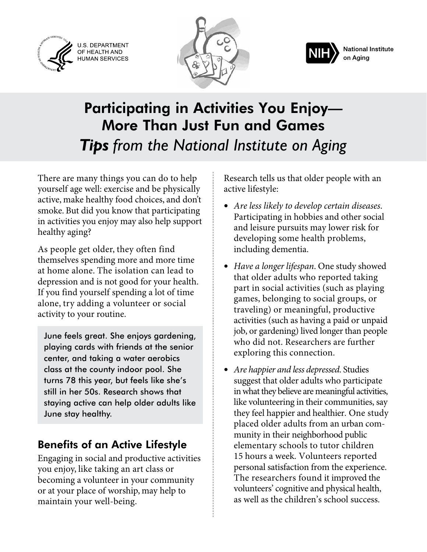U.S. DEPARTMENT OF HEALTH AND<br>HUMAN SERVICES





# Participating in Activities You Enjoy— More Than Just Fun and Games *Tips from the National Institute on Aging*

There are many things you can do to help yourself age well: exercise and be physically active, make healthy food choices, and don't smoke. But did you know that participating in activities you enjoy may also help support healthy aging?

As people get older, they often find themselves spending more and more time at home alone. The isolation can lead to depression and is not good for your health. If you find yourself spending a lot of time alone, try adding a volunteer or social activity to your routine.

June feels great. She enjoys gardening, playing cards with friends at the senior center, and taking a water aerobics class at the county indoor pool. She turns 78 this year, but feels like she's still in her 50s. Research shows that staying active can help older adults like June stay healthy.

### Benefits of an Active Lifestyle

Engaging in social and productive activities you enjoy, like taking an art class or becoming a volunteer in your community or at your place of worship, may help to maintain your well-being.

Research tells us that older people with an active lifestyle:

- *Are less likely to develop certain diseases*. Participating in hobbies and other social and leisure pursuits may lower risk for developing some health problems, including dementia.
- *Have a longer lifespan*. One study showed that older adults who reported taking part in social activities (such as playing games, belonging to social groups, or traveling) or meaningful, productive activities (such as having a paid or unpaid job, or gardening) lived longer than people who did not. Researchers are further exploring this connection.
- *Are happier and less depressed*. Studies suggest that older adults who participate in what they believe are meaningful activities, like volunteering in their communities, say they feel happier and healthier. One study placed older adults from an urban community in their neighborhood public elementary schools to tutor children 15 hours a week. Volunteers reported personal satisfaction from the experience. The researchers found it improved the volunteers' cognitive and physical health, as well as the children's school success.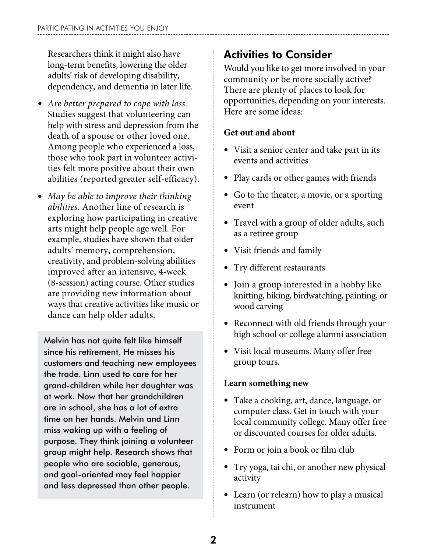Researchers think it might also have long-term benefits, lowering the older adults' risk of developing disability, dependency, and dementia in later life.

- *Are better prepared to cope with loss.*  Studies suggest that volunteering can help with stress and depression from the death of a spouse or other loved one. Among people who experienced a loss, those who took part in volunteer activities felt more positive about their own abilities (reported greater self-efficacy).
- *May be able to improve their thinking abilities.* Another line of research is exploring how participating in creative arts might help people age well. For example, studies have shown that older adults' memory, comprehension, creativity, and problem-solving abilities improved after an intensive, 4-week (8-session) acting course. Other studies are providing new information about ways that creative activities like music or dance can help older adults.

Melvin has not quite felt like himself since his retirement. He misses his customers and teaching new employees the trade. Linn used to care for her grand-children while her daughter was at work. Now that her grandchildren are in school, she has a lot of extra time on her hands. Melvin and Linn miss waking up with a feeling of purpose. They think joining a volunteer group might help. Research shows that people who are sociable, generous, and goal-oriented may feel happier and less depressed than other people.

## Activities to Consider

Would you like to get more involved in your community or be more socially active? There are plenty of places to look for opportunities, depending on your interests. Here are some ideas:

### **Get out and about**

- Visit a senior center and take part in its events and activities
- Play cards or other games with friends
- Go to the theater, a movie, or a sporting event
- Travel with a group of older adults, such as a retiree group
- Visit friends and family
- Try different restaurants
- Join a group interested in a hobby like knitting, hiking, birdwatching, painting, or wood carving
- Reconnect with old friends through your high school or college alumni association
- Visit local museums. Many offer free group tours.

#### **Learn something new**

- Take a cooking, art, dance, language, or computer class. Get in touch with your local community college. Many offer free or discounted courses for older adults.
- Form or join a book or film club
- Try yoga, tai chi, or another new physical activity
- Learn (or relearn) how to play a musical instrument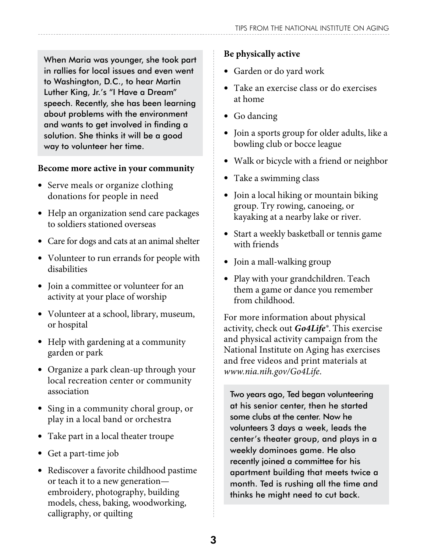When Maria was younger, she took part in rallies for local issues and even went to Washington, D.C., to hear Martin Luther King, Jr.'s "I Have a Dream" speech. Recently, she has been learning about problems with the environment and wants to get involved in finding a solution. She thinks it will be a good way to volunteer her time.

#### **Become more active in your community**

- Serve meals or organize clothing donations for people in need
- Help an organization send care packages to soldiers stationed overseas
- Care for dogs and cats at an animal shelter
- Volunteer to run errands for people with disabilities
- Join a committee or volunteer for an activity at your place of worship
- Volunteer at a school, library, museum, or hospital
- Help with gardening at a community garden or park
- Organize a park clean-up through your local recreation center or community association
- Sing in a community choral group, or play in a local band or orchestra
- Take part in a local theater troupe
- Get a part-time job
- Rediscover a favorite childhood pastime or teach it to a new generation embroidery, photography, building models, chess, baking, woodworking, calligraphy, or quilting

### **Be physically active**

- Garden or do yard work
- Take an exercise class or do exercises at home
- Go dancing
- Join a sports group for older adults, like a bowling club or bocce league
- Walk or bicycle with a friend or neighbor
- Take a swimming class
- Join a local hiking or mountain biking group. Try rowing, canoeing, or kayaking at a nearby lake or river.
- Start a weekly basketball or tennis game with friends
- Join a mall-walking group
- Play with your grandchildren. Teach them a game or dance you remember from childhood.

For more information about physical activity, check out *Go4Life®*. This exercise and physical activity campaign from the National Institute on Aging has exercises and free videos and print materials at *www.nia.nih.gov/Go4Life*.

Two years ago, Ted began volunteering at his senior center, then he started some clubs at the center. Now he volunteers 3 days a week, leads the center's theater group, and plays in a weekly dominoes game. He also recently joined a committee for his apartment building that meets twice a month. Ted is rushing all the time and thinks he might need to cut back.